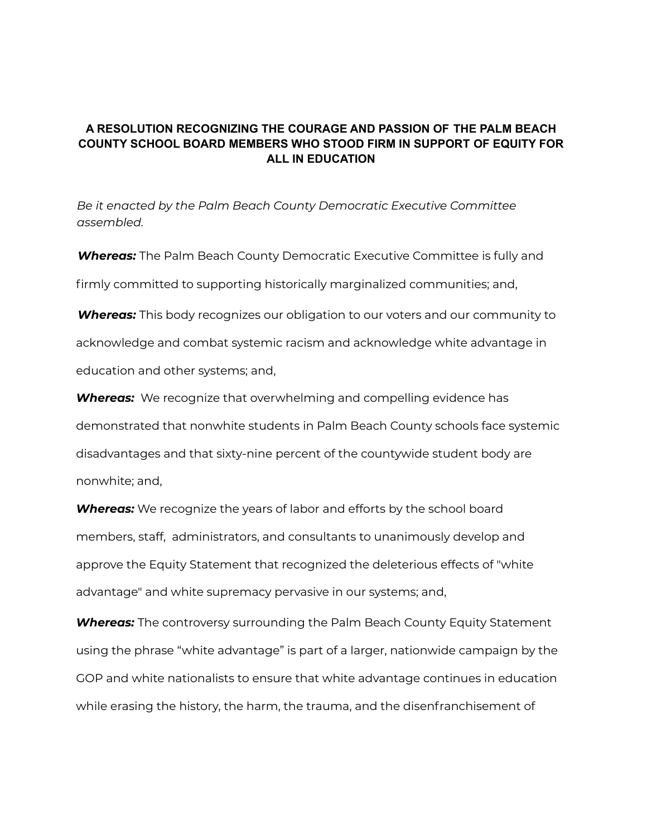## **A RESOLUTION RECOGNIZING THE COURAGE AND PASSION OF THE PALM BEACH COUNTY SCHOOL BOARD MEMBERS WHO STOOD FIRM IN SUPPORT OF EQUITY FOR ALL IN EDUCATION**

*Be it enacted by the Palm Beach County Democratic Executive Committee assembled.*

*Whereas:* The Palm Beach County Democratic Executive Committee is fully and firmly committed to supporting historically marginalized communities; and,

*Whereas:* This body recognizes our obligation to our voters and our community to acknowledge and combat systemic racism and acknowledge white advantage in education and other systems; and,

*Whereas:* We recognize that overwhelming and compelling evidence has demonstrated that nonwhite students in Palm Beach County schools face systemic disadvantages and that sixty-nine percent of the countywide student body are nonwhite; and,

*Whereas:* We recognize the years of labor and efforts by the school board members, staff, administrators, and consultants to unanimously develop and approve the Equity Statement that recognized the deleterious effects of "white advantage" and white supremacy pervasive in our systems; and,

*Whereas:* The controversy surrounding the Palm Beach County Equity Statement using the phrase "white advantage" is part of a larger, nationwide campaign by the GOP and white nationalists to ensure that white advantage continues in education while erasing the history, the harm, the trauma, and the disenfranchisement of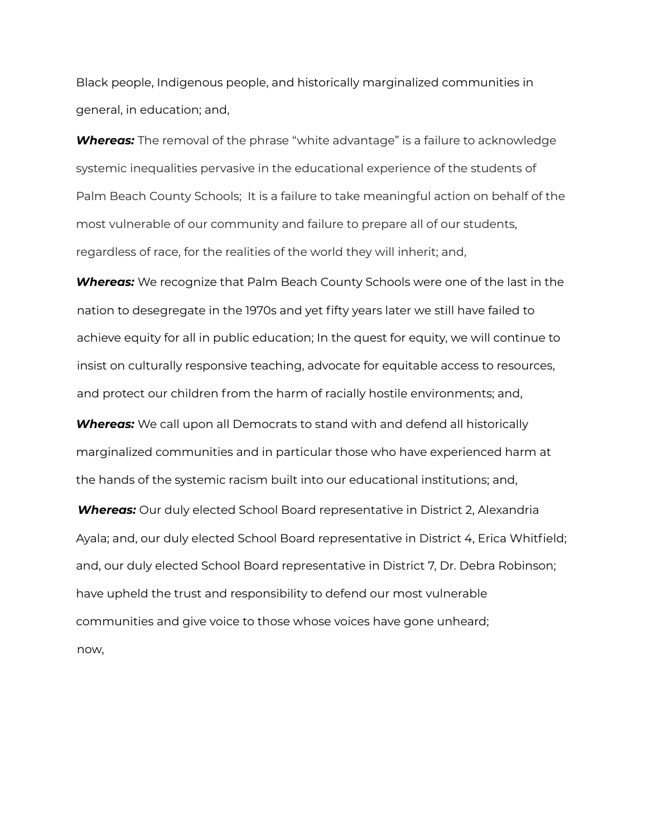Black people, Indigenous people, and historically marginalized communities in general, in education; and,

*Whereas:* The removal of the phrase "white advantage" is a failure to acknowledge systemic inequalities pervasive in the educational experience of the students of Palm Beach County Schools; It is a failure to take meaningful action on behalf of the most vulnerable of our community and failure to prepare all of our students, regardless of race, for the realities of the world they will inherit; and,

*Whereas:* We recognize that Palm Beach County Schools were one of the last in the nation to desegregate in the 1970s and yet fifty years later we still have failed to achieve equity for all in public education; In the quest for equity, we will continue to insist on culturally responsive teaching, advocate for equitable access to resources, and protect our children from the harm of racially hostile environments; and,

*Whereas:* We call upon all Democrats to stand with and defend all historically marginalized communities and in particular those who have experienced harm at the hands of the systemic racism built into our educational institutions; and,

*Whereas:* Our duly elected School Board representative in District 2, Alexandria Ayala; and, our duly elected School Board representative in District 4, Erica Whitfield; and, our duly elected School Board representative in District 7, Dr. Debra Robinson; have upheld the trust and responsibility to defend our most vulnerable communities and give voice to those whose voices have gone unheard; now,